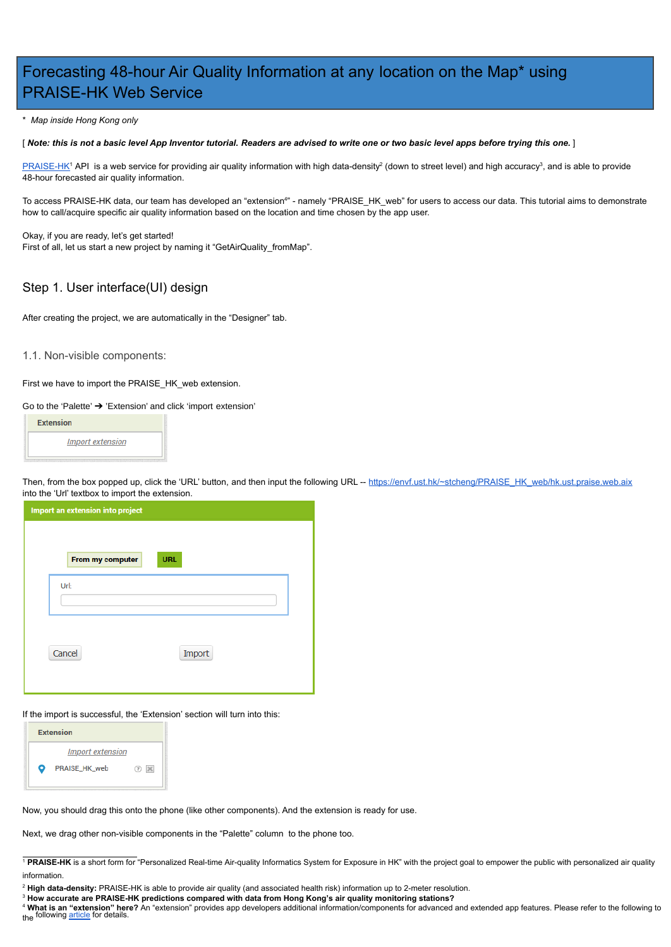# Forecasting 48-hour Air Quality Information at any location on the Map\* using PRAISE-HK Web Service

\* *Map inside Hong Kong only*

[ *Note: this is not a basic level App Inventor tutorial. Readers are advised to write one or two basic level apps before trying this one.* ]

[PRAISE-HK](http://praise.ust.hk/)<sup>1</sup> API is a web service for providing air quality information with high data-density<sup>2</sup> (down to street level) and high accuracy<sup>3</sup>, and is able to provide 48-hour forecasted air quality information.

To access PRAISE-HK data, our team has developed an "extension<sup>4</sup>" - namely "PRAISE\_HK\_web" for users to access our data. This tutorial aims to demonstrate how to call/acquire specific air quality information based on the location and time chosen by the app user.

Then, from the box popped up, click the 'URL' button, and then input the following URL -- [https://envf.ust.hk/~stcheng/PRAISE\\_HK\\_web/hk.ust.praise.web.aix](https://envf.ust.hk/~stcheng/PRAISE_HK_web/hk.ust.praise.web.aix) into the 'Url' textbox to import the extension.

| <b>Import an extension into project</b> |                  |            |  |  |  |  |
|-----------------------------------------|------------------|------------|--|--|--|--|
|                                         |                  |            |  |  |  |  |
|                                         | From my computer | <b>URL</b> |  |  |  |  |
|                                         | Url:             |            |  |  |  |  |
|                                         | Cancel           | Import     |  |  |  |  |
|                                         |                  |            |  |  |  |  |

Okay, if you are ready, let's get started! First of all, let us start a new project by naming it "GetAirQuality\_fromMap".

# Step 1. User interface(UI) design

After creating the project, we are automatically in the "Designer" tab.

1.1. Non-visible components:

First we have to import the PRAISE\_HK\_web extension.

<sup>4</sup> **What is an "extension" here?** An "extension" provides app developers additional information/components for advanced and extended app features. Please refer to the following to the following [article](http://ai2.appinventor.mit.edu/reference/other/extensions.html) for details.

Go to the 'Palette' ➔ 'Extension' and click 'import extension'



If the import is successful, the 'Extension' section will turn into this:

|           | <b>Extension</b>        |               |  |
|-----------|-------------------------|---------------|--|
|           | <b>Import extension</b> |               |  |
| $\bullet$ | PRAISE_HK_web           | $\mathcal{P}$ |  |

Now, you should drag this onto the phone (like other components). And the extension is ready for use.

Next, we drag other non-visible components in the "Palette" column to the phone too.

<sup>2</sup> **High data-density:** PRAISE-HK is able to provide air quality (and associated health risk) information up to 2-meter resolution.

<sup>3</sup> **How accurate are PRAISE-HK predictions compared with data from Hong Kong's air quality monitoring stations?**

<sup>&</sup>lt;sup>1</sup> PRAISE-HK is a short form for "Personalized Real-time Air-quality Informatics System for Exposure in HK" with the project goal to empower the public with personalized air quality information.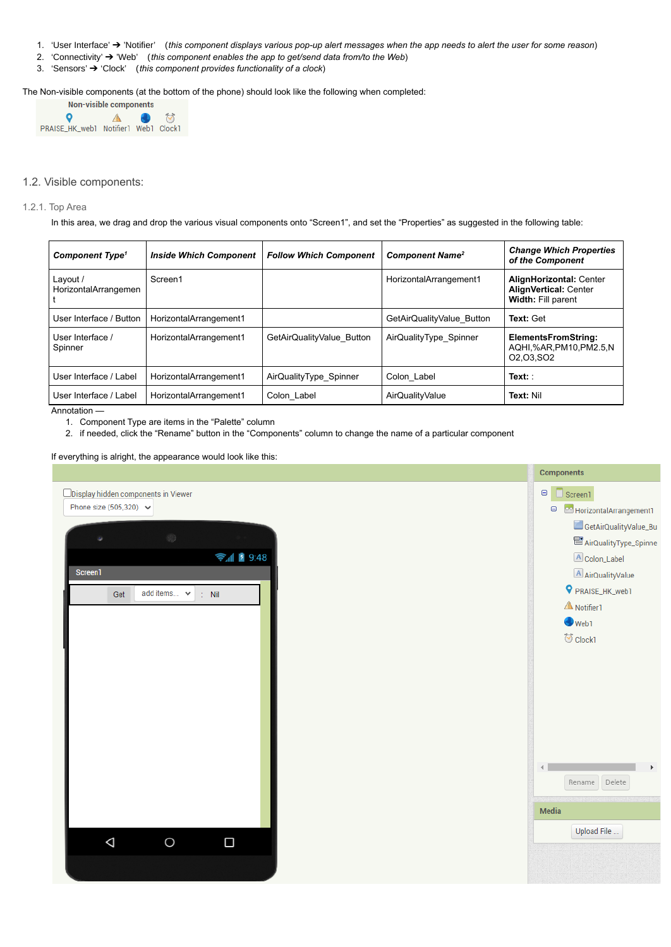- 1. 'User Interface' → 'Notifier' (this component displays various pop-up alert messages when the app needs to alert the user for some reason)
- 2. 'Connectivity' ➔ 'Web' (*this component enables the app to get/send data from/to the Web*)
- 3. 'Sensors' ➔ 'Clock' (*this component provides functionality of a clock*)

The Non-visible components (at the bottom of the phone) should look like the following when completed:

| Non-visible components               |   |  |           |  |
|--------------------------------------|---|--|-----------|--|
| o                                    | А |  | $\bullet$ |  |
| PRAISE_HK_web1 Notifier1 Web1 Clock1 |   |  |           |  |

# 1.2. Visible components:

#### 1.2.1. Top Area

In this area, we drag and drop the various visual components onto "Screen1", and set the "Properties" as suggested in the following table:

| <b>Component Type<sup>1</sup></b> | <b>Inside Which Component</b> | <b>Follow Which Component</b> | <b>Component Name<sup>2</sup></b> | <b>Change Which Properties</b><br>of the Component                                                       |  |
|-----------------------------------|-------------------------------|-------------------------------|-----------------------------------|----------------------------------------------------------------------------------------------------------|--|
| Layout /<br>HorizontalArrangemen  | Screen1                       |                               | HorizontalArrangement1            | <b>AlignHorizontal: Center</b><br><b>AlignVertical: Center</b><br>Width: Fill parent                     |  |
| User Interface / Button           | HorizontalArrangement1        |                               | GetAirQualityValue Button         | Text: Get                                                                                                |  |
| User Interface /<br>Spinner       | HorizontalArrangement1        | GetAirQualityValue Button     | AirQualityType_Spinner            | <b>ElementsFromString:</b><br>AQHI,%AR,PM10,PM2.5,N<br>O <sub>2</sub> , O <sub>3</sub> , SO <sub>2</sub> |  |
| User Interface / Label            | HorizontalArrangement1        | AirQualityType_Spinner        | Colon Label                       | $Text:$ :                                                                                                |  |
| User Interface / Label            | HorizontalArrangement1        | Colon Label                   | AirQualityValue                   | Text: Nil                                                                                                |  |

Annotation —

- 1. Component Type are items in the "Palette" column
- 2. if needed, click the "Rename" button in the "Components" column to change the name of a particular component

If everything is alright, the appearance would look like this:

|                                             | <b>Components</b>                       |
|---------------------------------------------|-----------------------------------------|
| $\Box$ Display hidden components in Viewer  | $\boldsymbol{\Theta}$<br>$\Box$ Screen1 |
| Phone size (505,320) $\vee$                 | Θ<br>PJ HorizontalArrangement1          |
|                                             | GetAirQualityValue_Bu                   |
| $\otimes$                                   | AirQualityType_Spinne                   |
| → 1 图 9:48                                  | A Colon_Label                           |
| Screen1                                     | A AirQualityValue                       |
| add items $\vee$<br>$\therefore$ Nil<br>Get | P PRAISE_HK_web1                        |
|                                             | A Notifier1                             |
|                                             | $\bigcirc$ Web1                         |
|                                             | <b>め</b> Clock1                         |
|                                             |                                         |
|                                             |                                         |
|                                             |                                         |



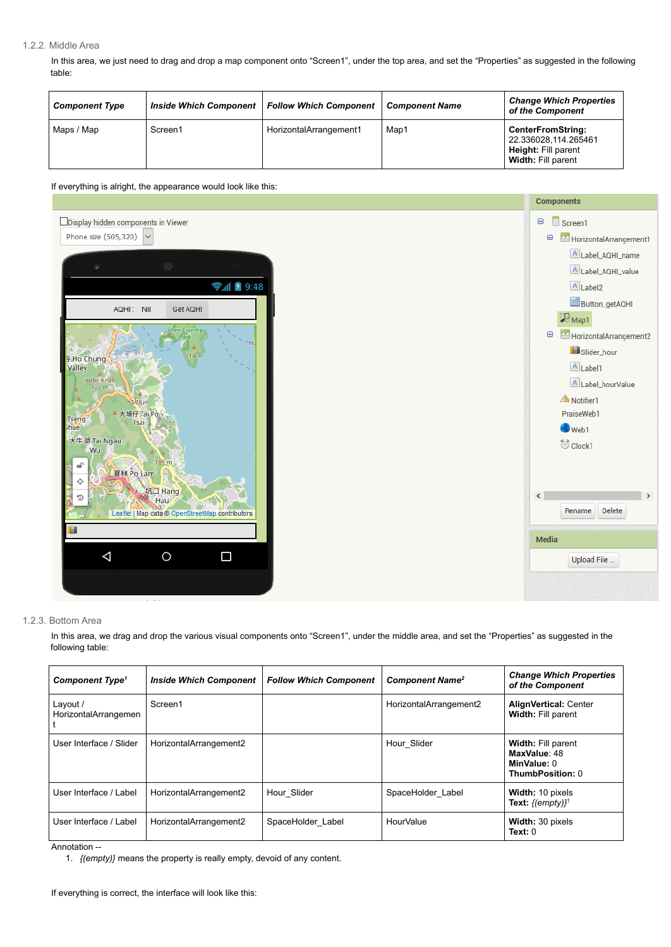#### 1.2.2. Middle Area

In this area, we just need to drag and drop a map component onto "Screen1", under the top area, and set the "Properties" as suggested in the following table:

| <b>Component Type</b> | <b>Inside Which Component</b> | <b>Follow Which Component</b> | <b>Component Name</b> | <b>Change Which Properties</b><br>of the Component                                                          |
|-----------------------|-------------------------------|-------------------------------|-----------------------|-------------------------------------------------------------------------------------------------------------|
| Maps / Map            | Screen1                       | HorizontalArrangement1        | Map1                  | <b>CenterFromString:</b><br>22.336028,114.265461<br><b>Height: Fill parent</b><br><b>Width: Fill parent</b> |

If everything is alright, the appearance would look like this:



#### 1.2.3. Bottom Area

In this area, we drag and drop the various visual components onto "Screen1", under the middle area, and set the "Properties" as suggested in the following table:

| <b>Component Type<sup>1</sup></b> | <b>Inside Which Component</b> | <b>Follow Which Component</b> | <b>Component Name<sup>2</sup></b> | <b>Change Which Properties</b><br>of the Component                                  |
|-----------------------------------|-------------------------------|-------------------------------|-----------------------------------|-------------------------------------------------------------------------------------|
| Layout /<br>HorizontalArrangemen  | Screen1                       |                               | HorizontalArrangement2            | <b>AlignVertical: Center</b><br><b>Width: Fill parent</b>                           |
| User Interface / Slider           | HorizontalArrangement2        |                               | Hour Slider                       | <b>Width: Fill parent</b><br>MaxValue: 48<br>MinValue: 0<br><b>ThumbPosition: 0</b> |
| User Interface / Label            | HorizontalArrangement2        | Hour_Slider                   | SpaceHolder Label                 | Width: 10 pixels<br>Text: $\{(\text{empty})\}^1$                                    |
| User Interface / Label            | HorizontalArrangement2        | SpaceHolder Label             | HourValue                         | <b>Width: 30 pixels</b><br>Text: 0                                                  |

Annotation --

1. *{(empty)}* means the property is really empty, devoid of any content.

If everything is correct, the interface will look like this: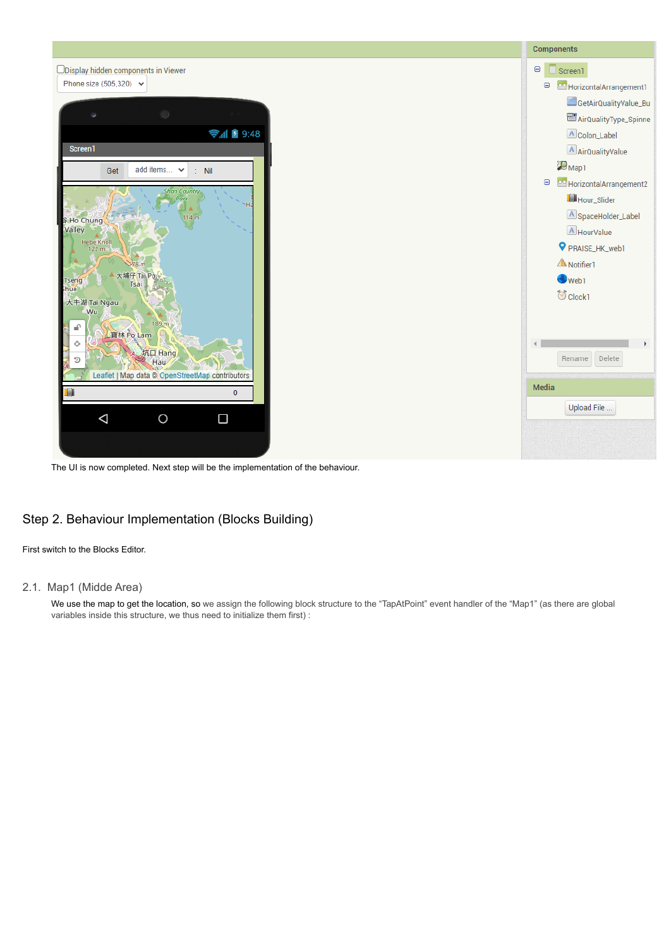

The UI is now completed. Next step will be the implementation of the behaviour.

# Step 2. Behaviour Implementation (Blocks Building)

First switch to the Blocks Editor.

## 2.1. Map1 (Midde Area)

We use the map to get the location, so we assign the following block structure to the "TapAtPoint" event handler of the "Map1" (as there are global variables inside this structure, we thus need to initialize them first) :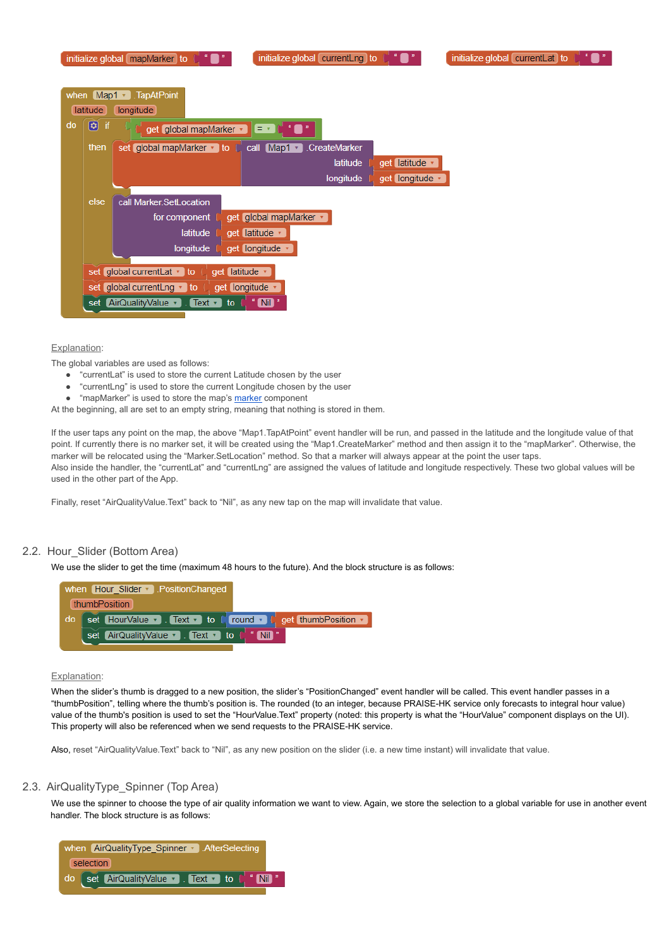|      |                 | $\mathbb{Z}^n$<br>initialize global currentLng to<br>$\frac{u}{\cdot}$ $\cdot$<br>initialize global currentLat to<br>initialize global mapMarker to                                       |
|------|-----------------|-------------------------------------------------------------------------------------------------------------------------------------------------------------------------------------------|
| when | latitude        | Map1 - TapAtPoint<br>longitude                                                                                                                                                            |
| do   | Θ<br>if<br>then | <b>A</b> O<br>get global mapMarker v<br>$= 7$<br>set global mapMarker v to<br>call Map1 v<br><b>CreateMarker</b>                                                                          |
|      |                 | get latitude v<br>latitude<br>get longitude ·<br>longitude                                                                                                                                |
|      | else            | call Marker.SetLocation<br>get global mapMarker *<br>for component<br>latitude<br>get latitude v<br>longitude<br>get longitude                                                            |
|      | set             | set global currentLat v to<br>get latitude v<br>set global current Lng $\cdot$ to<br>get longitude •<br>" $Nil$ "<br>[AirQualityValue v]<br>. Text $\cdot$ $\overline{\phantom{a}}$<br>to |

#### Explanation:

The global variables are used as follows:

- "currentLat" is used to store the current Latitude chosen by the user
- "currentLng" is used to store the current Longitude chosen by the user
- "mapMarker" is used to store the map's [marker](http://ai2.appinventor.mit.edu/reference/components/maps.html#Marker) component

At the beginning, all are set to an empty string, meaning that nothing is stored in them.

If the user taps any point on the map, the above "Map1.TapAtPoint" event handler will be run, and passed in the latitude and the longitude value of that point. If currently there is no marker set, it will be created using the "Map1.CreateMarker" method and then assign it to the "mapMarker". Otherwise, the marker will be relocated using the "Marker.SetLocation" method. So that a marker will always appear at the point the user taps.

Also inside the handler, the "currentLat" and "currentLng" are assigned the values of latitude and longitude respectively. These two global values will be used in the other part of the App.

Finally, reset "AirQualityValue.Text" back to "Nil", as any new tap on the map will invalidate that value.

We use the spinner to choose the type of air quality information we want to view. Again, we store the selection to a global variable for use in another event handler. The block structure is as follows:



### 2.2. Hour\_Slider (Bottom Area)

We use the slider to get the time (maximum 48 hours to the future). And the block structure is as follows:



#### Explanation:

When the slider's thumb is dragged to a new position, the slider's "PositionChanged" event handler will be called. This event handler passes in a "thumbPosition", telling where the thumb's position is. The rounded (to an integer, because PRAISE-HK service only forecasts to integral hour value) value of the thumb's position is used to set the "HourValue.Text" property (noted: this property is what the "HourValue" component displays on the UI) This property will also be referenced when we send requests to the PRAISE-HK service.

Also, reset "AirQualityValue.Text" back to "Nil", as any new position on the slider (i.e. a new time instant) will invalidate that value.

# 2.3. AirQualityType\_Spinner (Top Area)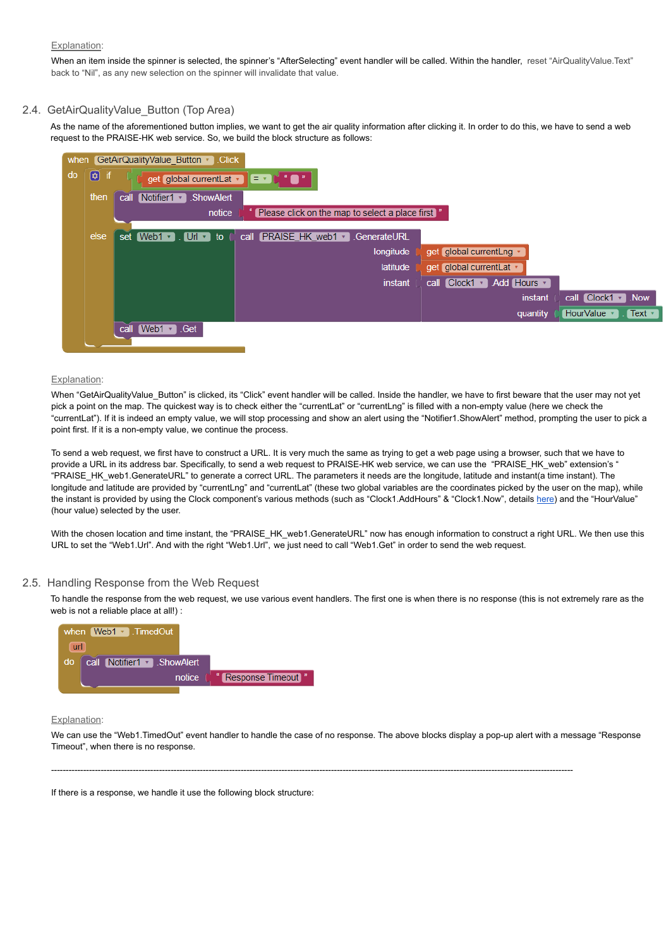#### Explanation:

When an item inside the spinner is selected, the spinner's "AfterSelecting" event handler will be called. Within the handler, reset "AirQualityValue.Text" back to "Nil", as any new selection on the spinner will invalidate that value.

## 2.4. GetAirQualityValue\_Button (Top Area)

As the name of the aforementioned button implies, we want to get the air quality information after clicking it. In order to do this, we have to send a web request to the PRAISE-HK web service. So, we build the block structure as follows:

| when |                             |      | GetAirQualityValue Button v Click              |                                                   |              |                            |                                      |
|------|-----------------------------|------|------------------------------------------------|---------------------------------------------------|--------------|----------------------------|--------------------------------------|
| do   | $\boldsymbol{\Theta}$<br>if |      | get global currentLat v E v L <sup>4</sup> C " |                                                   |              |                            |                                      |
|      | then                        | call | Notifier1 $\sqrt{ }$<br>.ShowAlert             |                                                   |              |                            |                                      |
|      |                             |      | notice                                         | Please click on the map to select a place first " |              |                            |                                      |
|      |                             |      |                                                |                                                   |              |                            |                                      |
|      | else                        | set  | $[Web1 \cdot ].$ Url $\cdot$ to                | call PRAISE HK web1 v                             | .GenerateURL |                            |                                      |
|      |                             |      |                                                |                                                   | longitude    | get global currentLng *    |                                      |
|      |                             |      |                                                |                                                   | latitude     | get global currentLat v    |                                      |
|      |                             |      |                                                |                                                   | instant      | call Clock1 v .Add Hours v |                                      |
|      |                             |      |                                                |                                                   |              | instant                    | call $Clock1 - Now$                  |
|      |                             |      |                                                |                                                   |              | quantity                   | HourValue v<br>$\lceil$ Text $\cdot$ |
|      |                             |      | call Web1 Get                                  |                                                   |              |                            |                                      |

#### Explanation:

When "GetAirQualityValue Button" is clicked, its "Click" event handler will be called. Inside the handler, we have to first beware that the user may not yet pick a point on the map. The quickest way is to check either the "currentLat" or "currentLng" is filled with a non-empty value (here we check the "currentLat"). If it is indeed an empty value, we will stop processing and show an alert using the "Notifier1.ShowAlert" method, prompting the user to pick a point first. If it is a non-empty value, we continue the process.

With the chosen location and time instant, the "PRAISE\_HK\_web1.GenerateURL" now has enough information to construct a right URL. We then use this URL to set the "Web1.Url". And with the right "Web1.Url", we just need to call "Web1.Get" in order to send the web request.

To send a web request, we first have to construct a URL. It is very much the same as trying to get a web page using a browser, such that we have to provide a URL in its address bar. Specifically, to send a web request to PRAISE-HK web service, we can use the "PRAISE\_HK\_web" extension's " "PRAISE\_HK\_web1.GenerateURL" to generate a correct URL. The parameters it needs are the longitude, latitude and instant(a time instant). The longitude and latitude are provided by "currentLng" and "currentLat" (these two global variables are the coordinates picked by the user on the map), while the instant is provided by using the Clock component's various methods (such as "Clock1.AddHours" & "Clock1.Now", details [here\)](http://ai2.appinventor.mit.edu/reference/components/sensors.html#Clock) and the "HourValue" (hour value) selected by the user.

### 2.5. Handling Response from the Web Request

To handle the response from the web request, we use various event handlers. The first one is when there is no response (this is not extremely rare as the web is not a reliable place at all!) :



#### **Explanation:**

We can use the "Web1.TimedOut" event handler to handle the case of no response. The above blocks display a pop-up alert with a message "Response Timeout", when there is no response.

-----------------------------------------------------------------------------------------------------------------------------------------------------------------------------------

If there is a response, we handle it use the following block structure: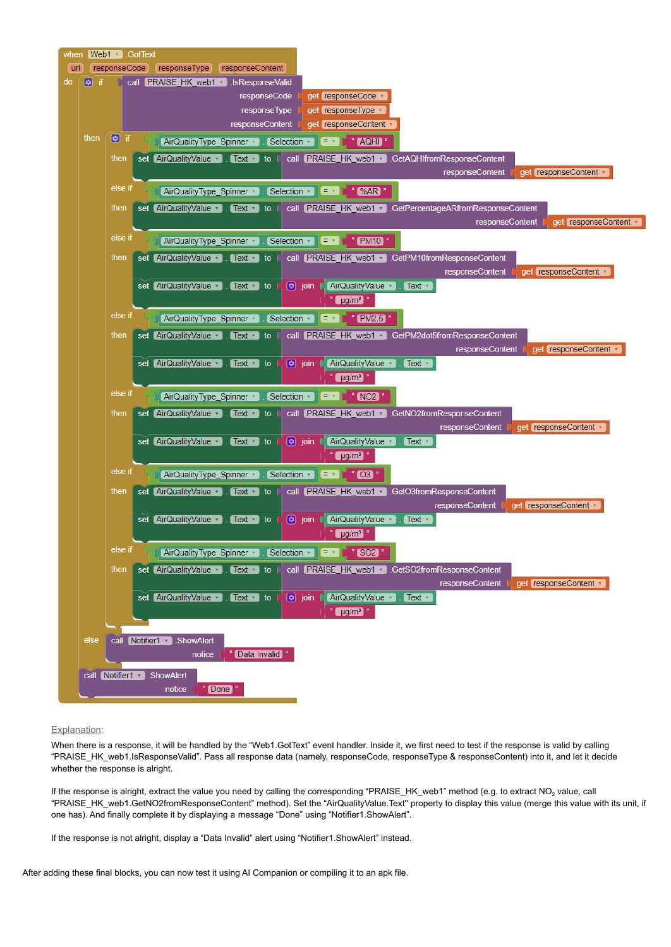

#### Explanation:

When there is a response, it will be handled by the "Web1.GotText" event handler. Inside it, we first need to test if the response is valid by calling "PRAISE\_HK\_web1.IsResponseValid". Pass all response data (namely, responseCode, responseType & responseContent) into it, and let it decide whether the response is alright.

If the response is alright, extract the value you need by calling the corresponding "PRAISE\_HK\_web1" method (e.g. to extract  $NO<sub>2</sub>$  value, call "PRAISE\_HK\_web1.GetNO2fromResponseContent" method). Set the "AirQualityValue.Text'' property to display this value (merge this value with its unit, if one has). And finally complete it by displaying a message "Done" using "Notifier1.ShowAlert".

If the response is not alright, display a "Data Invalid" alert using "Notifier1.ShowAlert" instead.

After adding these final blocks, you can now test it using AI Companion or compiling it to an apk file.